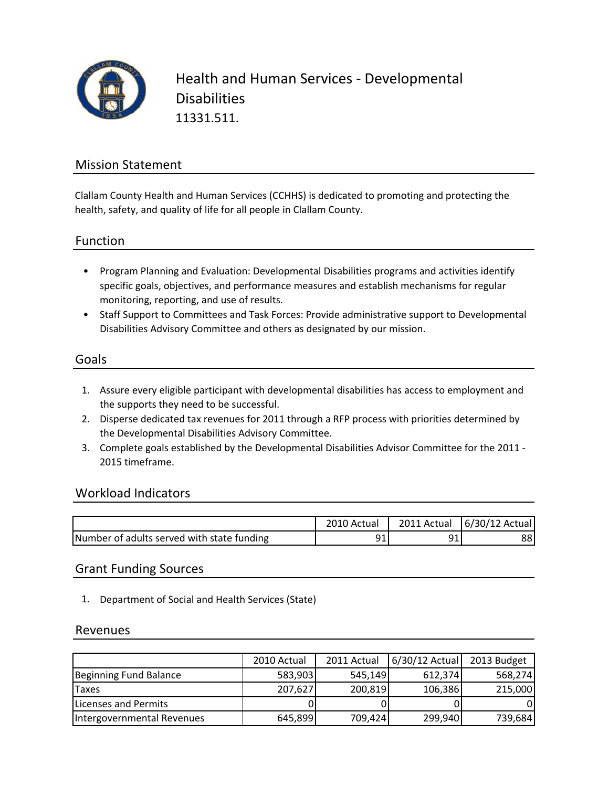

Health and Human Services ‐ Developmental **Disabilities** 11331.511.

## Mission Statement

Clallam County Health and Human Services (CCHHS) is dedicated to promoting and protecting the health, safety, and quality of life for all people in Clallam County.

### Function

- Program Planning and Evaluation: Developmental Disabilities programs and activities identify specific goals, objectives, and performance measures and establish mechanisms for regular monitoring, reporting, and use of results.
- Staff Support to Committees and Task Forces: Provide administrative support to Developmental Disabilities Advisory Committee and others as designated by our mission.

### Goals

- 1. Assure every eligible participant with developmental disabilities has access to employment and the supports they need to be successful.
- 2. Disperse dedicated tax revenues for 2011 through a RFP process with priorities determined by the Developmental Disabilities Advisory Committee.
- 3. Complete goals established by the Developmental Disabilities Advisor Committee for the 2011 ‐ 2015 timeframe.

### Workload Indicators

|                                            | 2010 Actual | 2011 Actual | 6/30/12 Actual |
|--------------------------------------------|-------------|-------------|----------------|
| Number of adults served with state funding | ᇰᆂ          | റ∙          | 88             |

### Grant Funding Sources

1. Department of Social and Health Services (State)

#### Revenues

|                            | 2010 Actual | 2011 Actual | 6/30/12 Actual | 2013 Budget |
|----------------------------|-------------|-------------|----------------|-------------|
| Beginning Fund Balance     | 583,903     | 545.149     | 612,374        | 568,274     |
| Taxes                      | 207,627     | 200,819     | 106,386        | 215,000     |
| Licenses and Permits       |             |             |                | 01          |
| Intergovernmental Revenues | 645,899     | 709,424     | 299,940        | 739,684     |